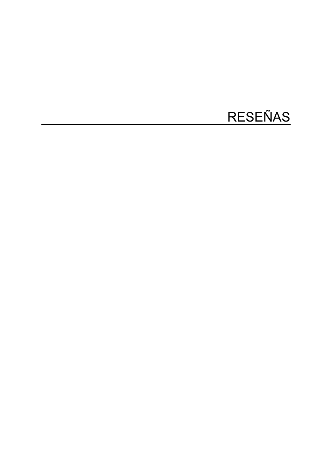## RESEÑAS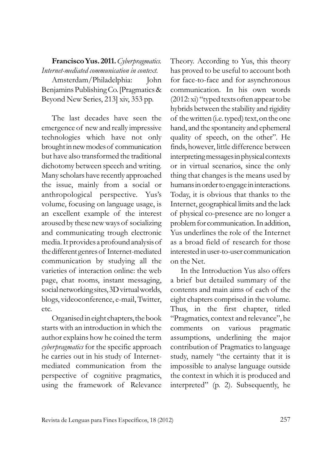**Francisco Yus. 2011.** *Cyberpragmatics. Internet-mediated communication in context.* 

Amsterdam/Philadelphia: John Benjamins Publishing Co. [Pragmatics & Beyond New Series, 213 xiv, 353 pp.

The last decades have seen the emergence of new and really impressive technologies which have not only brought in new modes of communication but have also transformed the traditional dichotomy between speech and writing. Many scholars have recently approached the issue, mainly from a social or anthropological perspective. Yus's volume, focusing on language usage, is an excellent example of the interest aroused by these new ways of socializing and communicating trough electronic media. It provides a profound analysis of the differentgenres of Internet-mediated communication by studying all the varieties of interaction online: the web page, chat rooms, instant messaging, social networking sites, 3D virtual worlds, blogs, videoconference, e-mail, Twitter, etc.

Organised in eight chapters, the book starts with an introduction in which the author explains how he coined the term *cyberpragmatics* for the specific approach he carries out in his study of Internetmediated communication from the perspective of cognitive pragmatics, using the framework of Relevance

Theory. According to Yus, this theory has proved to be useful to account both for face-to-face and for asynchronous communication. In his own words (2012: xi) "typed texts often appear to be hybrids between the stability and rigidity of the written (i.e. typed) text, on the one hand, and the spontaneity and ephemeral quality of speech, on the other". He finds, however, little difference between interpreting messages in physical contexts or in virtual scenarios, since the only thing that changes is the means used by humans in order to engage in interactions. Today, it is obvious that thanks to the Internet, geographical limits and the lack of physical co-presence are no longer a problem for communication. In addition, Yus underlines the role of the Internet as a broad field of research for those interested in user-to-user communication on the Net.

In the Introduction Yus also offers a brief but detailed summary of the contents and main aims of each of the eight chapters comprised in the volume. Thus, in the first chapter, titled "Pragmatics, context and relevance", he comments on various pragmatic assumptions, underlining the major contribution of Pragmatics to language study, namely "the certainty that it is impossible to analyse language outside the context in which it is produced and interpreted" (p. 2). Subsequently, he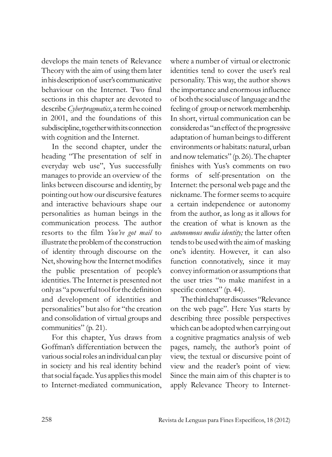develops the main tenets of Relevance Theory with the aim of using them later in his descriptionof user's communicative behaviour on the Internet. Two final sections in this chapter are devoted to describe *Cyberpragmatics*, a term he coined in 2001, and the foundations of this subdiscipline, together with its connection with cognition and the Internet.

In the second chapter, under the heading "The presentation of self in everyday web use", Yus successfully manages to provide an overview of the links between discourse and identity, by pointing out how our discursive features and interactive behaviours shape our personalities as human beings in the communication process. The author resorts to the film *You've got mail* to illustrate the problem of the construction of identity through discourse on the Net, showing how the Internet modifies the public presentation of people's identities. The Internet is presented not only as "a powerfultool for the definition and development of identities and personalities" but also for "the creation and consolidation of virtual groups and communities" (p. 21).

For this chapter, Yus draws from Goffman's differentiation between the various social roles an individual can play in society and his real identity behind that social façade. Yus applies this model to Internet-mediated communication,

where a number of virtual or electronic identities tend to cover the user's real personality. This way, the author shows the importance and enormous influence of both the social use of language andthe feeling of group or network membership. In short, virtual communication can be considered as "an effect of the progressive adaptation of human beings to different environments or habitats: natural, urban and now telematics" (p. 26). The chapter finishes with Yus's comments on two forms of self-presentation on the Internet: the personal web page and the nickname. The former seems to acquire a certain independence or autonomy from the author, as long as it allows for the creation of what is known as the *autonomous media identity;* the latter often tends to be used with the aim of masking one's identity. However, it can also function connotatively, since it may convey information or assumptions that the user tries "to make manifest in a specific context" (p. 44).

The third chapter discusses "Relevance on the web page". Here Yus starts by describing three possible perspectives which can be adopted when carrying out a cognitive pragmatics analysis of web pages, namely, the author's point of view, the textual or discursive point of view and the reader's point of view. Since the main aim of this chapter is to apply Relevance Theory to Internet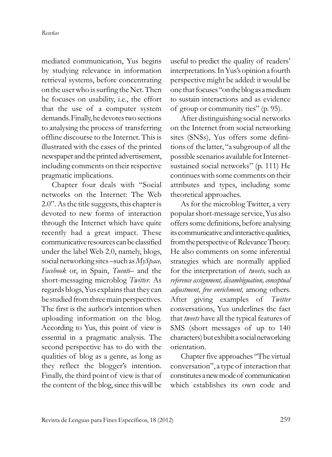mediated communication, Yus begins by studying relevance in information retrieval systems, before concentrating on the user who is surfing the Net. Then he focuses on usability, i.e., the effort that the use of a computer system demands. Finally, he devotes two sections to analysing the process of transferring offline discourse to the Internet. This is illustrated with the cases of the printed newspaper and the printed advertisement, including comments on their respective pragmatic implications.

Chapter four deals with "Social networks on the Internet: The Web 2.0". As the title suggests, this chapter is devoted to new forms of interaction through the Internet which have quite recently had a great impact. These communicative resources can be classified under the label Web 2.0, namely, blogs, social networking sites –such as *MySpace, Facebook* or, in Spain, *Tuenti*– and the short-messaging microblog *Twitter.* As regards blogs, Yus explains that they can be studied from three main perspectives. The first is the author's intention when uploading information on the blog. Ac cording to Yus, this point of view is essential in a pragmatic analysis. The second perspective has to do with the qualities of blog as a genre, as long as they reflect the blogger's intention. Finally, the third point of view is that of the content of the blog, since this will be

useful to predict the quality of readers' interpretations. In Yus's opinion a fourth perspective might be added: it would be one that focuses "on the blog as a medium to sustain interactions and as evidence of group or community ties" (p. 95).

After distinguishing social networks on the Internet from social networking sites (SNSs), Yus offers some definitions of the latter, "a subgroup of all the possible scenarios available for Internetsustained social networks" (p. 111) He continues with some comments on their attributes and types, including some theoretical approaches.

As for the microblog Twitter, a very popular short-message service, Yus also offers some definitions, before analysing its communicative and interactive qualities, from the perspective of Relevance Theory. He also comments on some inferential strategies which are normally applied for the interpretation of *tweets,* such as *reference assignment, disambiguation, conceptual adjustment, free enrichment,* among others. After giving examples of *Twitter* conversations, Yus underlines the fact that *tweets* have all the typical features of SMS (short messages of up to 140 characters) but exhibit a social networking orientation.

Chapter five approaches "The virtual conversation", a type of interaction that constitutes a new mode of communication which establishes its own code and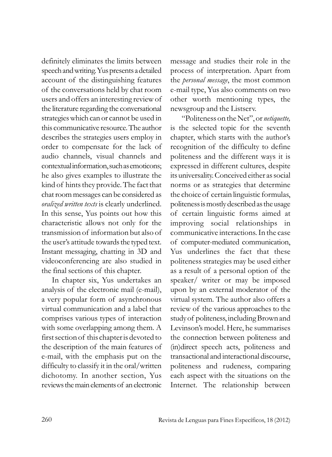definitely eliminates the limits between speech and writing. Yus presents a detailed account of the distinguishing features of the conversations held by chat room users and offers an interesting review of the literature regarding the conversational strategies which can or cannot be used in this communicative resource. The author describes the strategies users employ in order to compensate for the lack of audio channels, visual channels and contextual information, such as emoticons; he also gives examples to illustrate the kind of hints they provide. The fact that chat room messages can be considered as *oralized written texts* is clearly underlined. In this sense, Yus points out how this characteristic allows not only for the transmission of information but also of the user's attitude towards the typed text. Instant messaging, chatting in 3D and videoconferencing are also studied in the final sections of this chapter.

In chapter six, Yus undertakes an analysis of the electronic mail (e-mail), a very popular form of asynchronous virtual communication and a label that comprises various types of interaction with some overlapping among them. A first section of this chapter is devoted to the description of the main features of e-mail, with the emphasis put on the difficulty to classify it in the oral/written dichotomy. In another section, Yus re views the main elements of an electronic

message and studies their role in the process of interpretation. Apart from the *personal message*, the most common e-mail type, Yus also comments on two other worth mentioning types, the newsgroup and the Listserv.

"Politeness on the Net", or *netiquette,* is the selected topic for the seventh chapter, which starts with the author's recognition of the difficulty to define politeness and the different ways it is expressed in different cultures, despite its universality. Conceived either as social norms or as strategies that determine the choice of certain linguistic formulas, politeness is mostly described as the usage of certain linguistic forms aimed at improving social relationships in communicative interactions. In the case of computer-mediated communication, Yus underlines the fact that these politeness strategies may be used either as a result of a personal option of the speaker/ writer or may be imposed upon by an external moderator of the virtual system. The author also offers a review of the various approaches to the study of politeness, including Brown and Levinson's model. Here, he summarises the connection between politeness and (in)direct speech acts, politeness and transactional and interactional discourse, politeness and rudeness, comparing each aspect with the situations on the Internet. The relationship between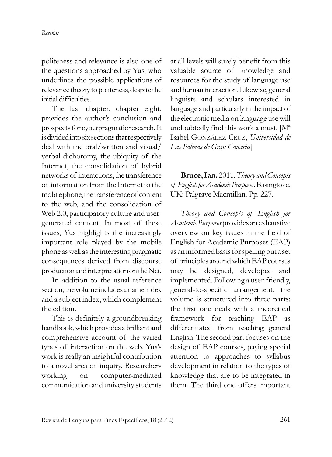politeness and relevance is also one of the questions approached by Yus, who underlines the possible applications of relevance theory to politeness, despite the initial difficulties.

The last chapter, chapter eight, provides the author's conclusion and prospects for cyberpragmatic research. It is divided into six sections that respectively deal with the oral/written and visual/ verbal dichotomy, the ubiquity of the Internet, the consolidation of hybrid networks of interactions, the transference of information from the Internet to the mobile phone, the transference of content to the web, and the consolidation of Web 2.0, participatory culture and usergenerated content. In most of these issues, Yus highlights the increasingly important role played by the mobile phone as well as the interesting pragmatic consequences derived from discourse production and interpretation on the Net.

In addition to the usual reference section, the volume includes a name index and a subject index, which complement the edition.

This is definitely a groundbreaking handbook, which provides a brilliant and comprehensive account of the varied types of interaction on the web. Yus's work is really an insightful contribution to a novel area of inquiry. Researchers working on computer-mediated communication and university students

at all levels will surely benefit from this valuable source of knowledge and resources for the study of language use and humaninteraction. Likewise, general linguists and scholars interested in language and particularly in the impact of the electronic media on language use will undoubtedly find this work a must. [Mª Isabel GONZÁLEZ CRUZ, Universidad de *Las Palmas de Gran Canaria*]

**Bruce, Ian.** 2011. *Theory and Concepts of English for Academic Purposes*. Basingtoke, UK: Palgrave Macmillan. Pp. 227.

*Theory and Concepts of English for Aca demic Purposes* provides an exhaustive overview on key issues in the field of English for Academic Purposes (EAP) as an informed basis for spelling out a set of principles around which EAP courses may be designed, developed and implemented. Following a user-friendly, general-to-specific arrangement, the volume is structured into three parts: the first one deals with a theoretical framework for teaching EAP as differentiated from teaching general English. The second part focuses on the design of EAP courses, paying special attention to approaches to syllabus development in relation to the types of knowledge that are to be integrated in them. The third one offers important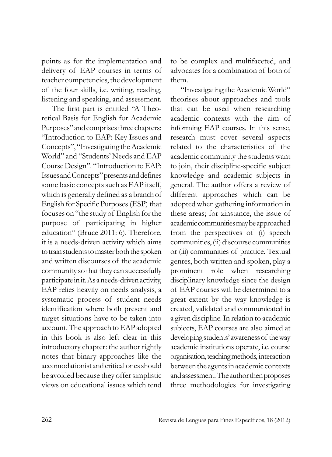points as for the implementation and delivery of EAP courses in terms of teacher competencies, the development of the four skills, i.e. writing, reading, listening and speaking, and assessment.

The first part is entitled "A Theoretical Basis for English for Academic Purposes" and comprises three chapters: "Introduction to EAP: Key Issues and Concepts", "Investigating the Academic World" and "Students' Needs and EAP Course Design". "Introduction to EAP: Issues and Concepts" presents and defines some basic concepts such as EAP itself, which is generally defined as a branch of English for Specific Purposes (ESP) that focuses on "the study of English for the purpose of participating in higher education" (Bruce 2011: 6). Therefore, it is a needs-driven activity which aims to train students to master both the spoken and written discourses of the academic community so that they can successfully participate in it. As a needs-driven activity, EAP relies heavily on needs analysis, a systematic process of student needs identification where both present and target situations have to be taken into account. The approach to EAP adopted in this book is also left clear in this introductory chapter: the author rightly notes that binary approaches like the accomodationist and critical ones should be avoided because they offer simplistic views on educational issues which tend to be complex and multifaceted, and advocates for a combination of both of them.

"Investigating the Academic World" theorises about approaches and tools that can be used when researching academic contexts with the aim of informing EAP courses. In this sense, research must cover several aspects related to the characteristics of the academic community the students want to join, their discipline-specific subject knowledge and academic subjects in general. The author offers a review of different approaches which can be adopted when gathering information in these areas; for zinstance, the issue of academic communities may be approached from the perspectives of (i) speech communities, (ii) discourse communities or (iii) communities of practice. Textual genres, both written and spoken, play a prominent role when researching disciplinary knowledge since the design of EAP courses will be determined to a great extent by the way knowledge is created, validated and communicated in a given discipline. In relation to academic subjects, EAP courses are also aimed at developing students' awareness of the way academic institutions operate, i.e. course organisation, teaching methods, interaction between the agents in academic contexts and assessment. The author then proposes three methodologies for investigating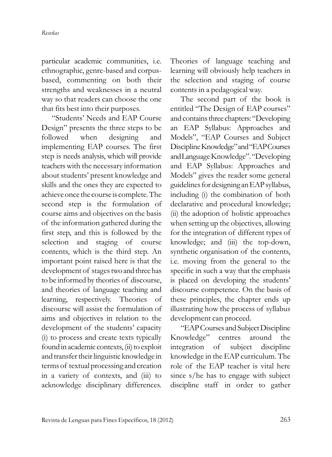particular academic communities, i.e. ethnographic, genre-based and corpusbased, commenting on both their strengths and weaknesses in a neutral way so that readers can choose the one that fits best into their purposes.

"Students' Needs and EAP Course Design" presents the three steps to be followed when designing and implementing EAP courses. The first step is needs analysis, which will provide teachers with the necessary information about students' present knowledge and skills and the ones they are expected to achieveonce the course is complete. The second step is the formulation of course aims and objectives on the basis of the information gathered during the first step, and this is followed by the selection and staging of course contents, which is the third step. An important point raised here is that the development of stages two and three has to be informed by theories of discourse, and theories of language teaching and learning, respectively. Theories of discourse will assist the formulation of aims and objectives in relation to the development of the students' capacity (i) to process and create texts typically found in academic contexts, (ii) to exploit and transfer their linguistic knowledge in terms of textual processing and creation in a variety of contexts, and (iii) to acknowledge disciplinary differences.

Theories of language teaching and learning will obviously help teachers in the selection and staging of course contents in a pedagogical way.

The second part of the book is entitled "The Design of EAP courses" and contains three chapters: "Developing an EAP Syllabus: Approaches and Models", "EAP Courses and Subject Discipline Knowledge" and "EAP Courses and Language Knowledge". "Developing and EAP Syllabus: Approaches and Models" gives the reader some general guidelines for designing an EAP syllabus, including (i) the combination of both declarative and procedural knowledge; (ii) the adoption of holistic approaches when setting up the objectives, allowing for the integration of different types of knowledge; and (iii) the top-down, synthetic organisation of the contents, i.e. moving from the general to the specific in such a way that the emphasis is placed on developing the students' discourse competence. On the basis of these principles, the chapter ends up illustrating how the process of syllabus development can proceed.

"EAP Courses and Subject Discipline" Knowledge" centres around the integration of subject discipline knowledge in the EAP curriculum. The role of the EAP teacher is vital here since s/he has to engage with subject discipline staff in order to gather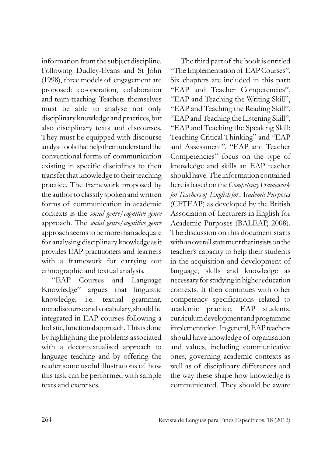information from the subject discipline. Following Dudley-Evans and St John (1998), three models of engagement are proposed: co-operation, collaboration and team-teaching. Teachers themselves must be able to analyse not only disciplinary knowledge and practices, but also disciplinary texts and discourses. They must be equipped with discourse analyst tools that help them understand the conventional forms of communication existing in specific disciplines to then transfer that knowledge to their teaching practice. The framework proposed by the author to classify spoken and written forms of communication in academic contexts is the *social genre/cognitive genre* approach. The *social genre/cognitive genre* approach seems to be more than adequate for analysing disciplinary knowledge as it provides EAP practitioners and learners with a framework for carrying out ethnographic and textual analysis.

"EAP Courses and Language Knowledge" argues that linguistic knowledge, i.e. textual grammar, metadiscourse and vocabulary, should be integrated in EAP courses following a holistic, functional approach. This is done by highlighting the problems associated with a decontextualised approach to language teaching and by offering the reader some useful illustrations of how this task can be performed with sample texts and exercises.

The third part of the book is entitled "The Implementation of EAP Courses". Six chapters are included in this part: "EAP and Teacher Competencies", "EAP and Teaching the Writing Skill", "EAP and Teaching the Reading Skill", "EAP and Teaching the Listening Skill", "EAP and Teaching the Speaking Skill: Teaching Critical Thinking" and "EAP and Assessment". "EAP and Teacher Competencies" focus on the type of knowledge and skills an EAP teacher should have. The information contained here is based on the *Competency Framework for Teachers of English for Academic Purposes* (CFTEAP) as developed by the British Association of Lecturers in English for Academic Purposes (BALEAP, 2008). The discussion on this document starts with an overall statement that insists on the teacher's capacity to help their students in the acquisition and development of language, skills and knowledge as necessary for studying in higher education contexts. It then continues with other competency specifications related to academic practice, EAP students, curriculum development and programme implementation. In general, EAP teachers should have knowledge of organisation and values, including communicative ones, governing academic contexts as well as of disciplinary differences and the way these shape how knowledge is communicated. They should be aware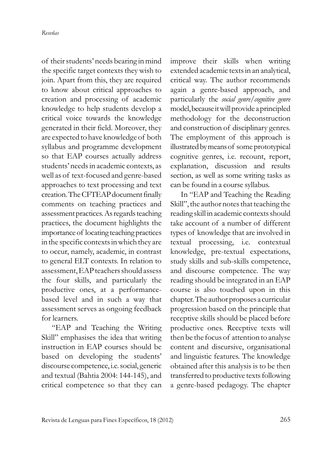of their students' needs bearing in mind the specific target contexts they wish to join. Apart from this, they are required to know about critical approaches to creation and processing of academic knowledge to help students develop a critical voice towards the knowledge generated in their field. Moreover, they are expected to have knowledge of both syllabus and programme development so that EAP courses actually address students' needs in academic contexts, as well as of text-focused and genre-based approaches to text processing and text creation. The CFTEAP document finally comments on teaching practices and assessment practices. As regards teaching practices, the document highlights the importance of locating teaching practices in the specific contexts in which they are to occur, namely, academic, in contrast to general ELT contexts. In relation to assessment, EAP teachers should assess the four skills, and particularly the productive ones, at a performancebased level and in such a way that assessment serves as ongoing feedback for learners.

"EAP and Teaching the Writing Skill" emphasises the idea that writing instruction in EAP courses should be based on developing the students' discourse competence, i.e. social, generic and textual (Bahtia 2004: 144-145), and critical competence so that they can

im prove their skills when writing extended academic texts in an analytical, critical way. The author recommends again a genre-based approach, and particularly the *social genre/cognitive genre* model, becauseit will provide a principled methodology for the deconstruction and construction of disciplinary genres. The employment of this approach is illustrated by means of some prototypical cognitive genres, i.e. recount, report, explanation, discussion and results section, as well as some writing tasks as can be found in a course syllabus.

In "EAP and Teaching the Reading Skill", the author notes that teaching the reading skill in academic contexts should take account of a number of different types of knowledge that are involved in textual processing, i.e. contextual knowledge, pre-textual expectations, study skills and sub-skills competence, and discourse competence. The way reading should be integrated in an EAP course is also touched upon in this chapter. The author proposes a curricular progression based on the principle that receptive skills should be placed before productive ones. Receptive texts will then be the focus of attention to analyse content and discursive, organisational and linguistic features. The knowledge obtained after this analysis is to be then transferred to productive texts following a genre-based pedagogy. The chapter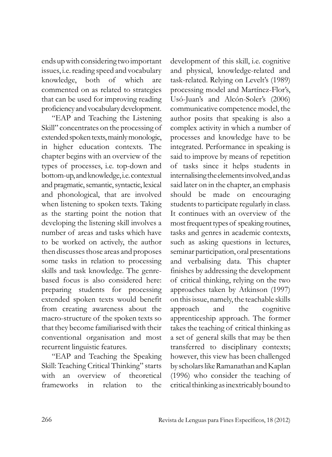ends up with considering two important issues, i.e. reading speed and vocabulary knowledge, both of which are commented on as related to strategies that can be used for improving reading proficiency and vocabulary development.

"EAP and Teaching the Listening Skill" concentrates on the processing of extended spoken texts, mainly monologic, in higher education contexts. The chapter begins with an overview of the types of processes, i.e. top-down and bottom-up, and knowledge, i.e. contextual and pragmatic, semantic, syntactic, lexical and phonological, that are involved when listening to spoken texts. Taking as the starting point the notion that developing the listening skill involves a number of areas and tasks which have to be worked on actively, the author then discusses those areas and proposes some tasks in relation to processing skills and task knowledge. The genrebased focus is also considered here: preparing students for processing extended spoken texts would benefit from creating awareness about the macro-structure of the spoken texts so that they become familiarised with their conventional organisation and most recurrent linguistic features.

"EAP and Teaching the Speaking Skill: Teaching Critical Thinking" starts with an overview of theoretical frameworks in relation to the

development of this skill, i.e. cognitive and physical, knowledge-related and task-related. Relying on Levelt's (1989) processing model and Martínez-Flor's, Usó-Juan's and Alcón-Soler's (2006) communicative competence model, the author posits that speaking is also a complex activity in which a number of processes and knowledge have to be integrated. Performance in speaking is said to improve by means of repetition of tasks since it helps students in internalising the elements involved, and as said later on in the chapter, an emphasis should be made on encouraging students to participate regularly in class. It continues with an overview of the most frequent types of speaking routines, tasks and genres in academic contexts, such as asking questions in lectures, seminar participation, oral presentations and verbalising data. This chapter finishes by addressing the development of critical thinking, relying on the two approaches taken by Atkinson (1997) on this issue, namely, the teachable skills approach and the cognitive apprenticeship approach. The former takes the teaching of critical thinking as a set of general skills that may be then transferred to disciplinary contexts; however, this view has been challenged by scholars like Ramanathan and Kaplan (1996) who consider the teaching of critical thinking as inextricably bound to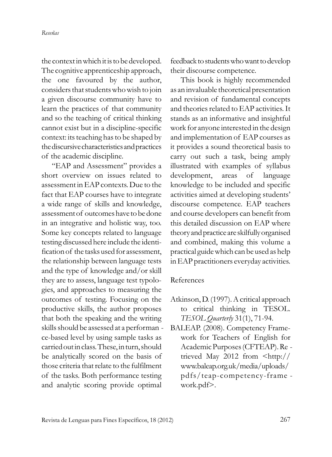the context in which it is to be developed. The cognitive apprenticeship approach, the one favoured by the author, considers that students who wish to join a given discourse community have to learn the practices of that community and so the teaching of critical thinking cannot exist but in a discipline-specific context: its teaching has to be shaped by the discursive characteristics and practices of the academic discipline.

"EAP and Assessment" provides a short overview on issues related to assessment in EAP contexts. Due to the fact that EAP courses have to integrate a wide range of skills and knowledge, assessment of outcomes have to be done in an integrative and holistic way, too. Some key concepts related to language testing discussed here include the identi fication of the tasks used for assessment, the relationship between language tests and the type of knowledge and/or skill they are to assess, language test typologies, and approaches to measuring the outcomes of testing. Focusing on the productive skills, the author proposes that both the speaking and the writing skills should be assessed at a performan ce-based level by using sample tasks as carried out in class. These, in turn, should be analytically scored on the basis of those criteria that relate to the fulfilment of the tasks. Both performance testing and analytic scoring provide optimal

feedback to students who want to develop their discourse competence.

This book is highly recommended as an invaluable theoretical presentation and revision of fundamental concepts and theories related to EAP activities. It stands as an informative and insightful work for anyone interested in the design and implementation of EAP courses as it provides a sound theoretical basis to carry out such a task, being amply illustrated with examples of syllabus development, areas of language knowledge to be included and specific activities aimed at developing students' discourse competence. EAP teachers and course developers can benefit from this detailed discussion on EAP where theory and practice are skilfully organised and com bined, making this volume a practical guide which can be used as help in EAP practitioners everyday activities.

## References

- Atkinson, D. (1997). A critical approach to critical thinking in TESOL. *TESOL Quarterly* 31(1), 71-94.
- BALEAP. (2008). Competency Framework for Teachers of English for Academic Purposes (CFTEAP). Re trieved May 2012 from <http:// www.baleap.org.uk/media/uploads/ pdfs/teap-competency-frame work.pdf>.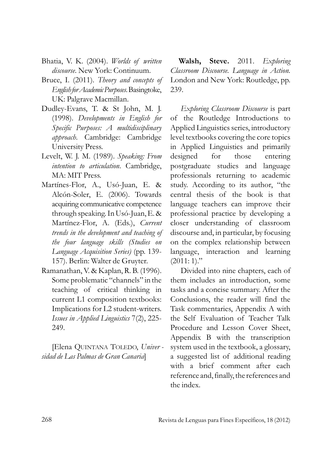- Bhatia, V. K. (2004). *Worlds of written discourse*. New York: Continuum.
- Bruce, I. (2011). *Theory and concepts of English for Academic Purposes*. Basingtoke, UK: Palgrave Macmillan.
- Dudley-Evans, T. & St John, M. J. (1998). *Developments in English for Specific Pur poses: A multidisciplinary approach*. Cam bridge: Cambridge University Press.
- Levelt, W. J. M. (1989). *Speaking: From intention to articulation*. Cambridge, MA: MIT Press.
- Martínes-Flor, A., Usó-Juan, E. & Alcón-Soler, E. (2006). Towards acquiring communicative competence through speaking. In Usó-Juan, E.  $\&$ Martí nez-Flor, A. (Eds.), *Current trends in the development and teaching of the four language skills (Studies on Language Acqui sition Series)* (pp. 139- 157). Berlin: Walter de Gruyter.
- Ramanathan, V. & Kaplan, R. B. (1996). Some problematic "channels" in the teaching of critical thinking in current L1 composition textbooks: Implications for L2 student-writers. *Issues in Applied Linguistics* 7(2), 225- 249.

[Elena QuINTANA TOLEDO, *Univer sidad de Las Palmas de Gran Canaria*]

**Walsh, Steve.** 2011. *Exploring Classroom Discourse. Language in Action.* London and New York: Routledge, pp. 239.

*Exploring Classroom Discourse* is part of the Routledge Introductions to Applied Linguistics series, introductory level textbooks covering the core topics in Applied Linguistics and primarily designed for those entering postgraduate studies and language professionals returning to academic study. According to its author, "the central thesis of the book is that language teachers can improve their professional practice by developing a closer understanding of classroom discourse and, in particular, by focusing on the complex relationship between language, interaction and learning  $(2011:1)$ ."

Divided into nine chapters, each of them includes an introduction, some tasks and a concise summary. After the Conclusions, the reader will find the Task commentaries, Appendix A with the Self Evaluation of Teacher Talk Procedure and Lesson Cover Sheet, Appendix B with the transcription system used in the textbook, a glossary, a suggested list of additional reading with a brief comment after each reference and, finally, the references and the index.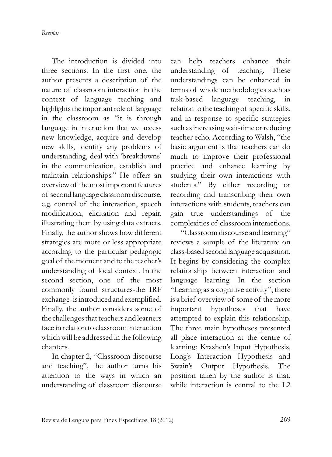*Reseñas*

The introduction is divided into three sections. In the first one, the author presents a description of the nature of classroom interaction in the context of language teaching and highlights the important role of language in the classroom as "it is through language in interaction that we access new knowledge, acquire and develop new skills, identify any problems of understanding, deal with 'breakdowns' in the communication, establish and maintain relationships." He offers an overview of the most important features of second language classroom discourse, e.g. control of the interaction, speech modification, elicitation and repair, illustrating them by using data extracts. Finally, the author shows how different strategies are more or less appropriate according to the particular pedagogic goal of the moment and to the teacher's understanding of local context. In the second section, one of the most commonly found structures-the IRF exchange- is introduced and exemplified. Finally, the author considers some of the challenges that teachers and learners face in relation to classroom interaction which will be addressed in the following chapters.

In chapter 2, "Classroom discourse and teaching", the author turns his attention to the ways in which an understanding of classroom discourse

can help teachers enhance their understanding of teaching. These understandings can be enhanced in terms of whole methodologies such as task-based language teaching, in relation to the teaching of specific skills, and in response to specific strategies such as increasing wait-time or reducing teacher echo. According to Walsh, "the basic argument is that teachers can do much to improve their professional practice and enhance learning by studying their own interactions with students." By either recording or recording and transcribing their own interactions with students, teachers can gain true understandings of the complexities of classroom interactions.

"Classroom discourse and learning" reviews a sample of the literature on class-based second language acquisition. It begins by considering the complex relationship between interaction and language learning. In the section "Learning as a cognitive activity", there is a brief overview of some of the more important hypotheses that have attempted to explain this relationship. The three main hypotheses presented all place interaction at the centre of learning: Krashen's Input Hypothesis, Long's Interaction Hypothesis and Swain's Output Hypothesis. The position taken by the author is that, while interaction is central to the L2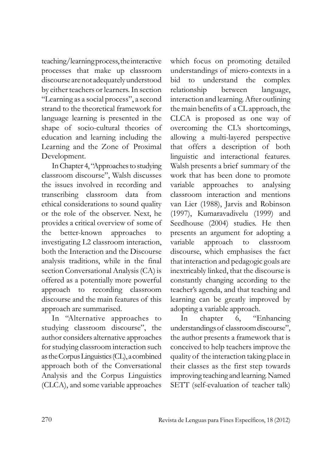teaching/learning process, the interactive processes that make up classroom discourse are not adequately un derstood by either teachers or learners. In section "Learning as a social process", a second strand to the theoretical framework for language learning is presented in the shape of socio-cultural theories of education and learning including the Learning and the zone of Proximal Development.

In Chapter 4, "Approaches to studying classroom discourse", Walsh discusses the issues involved in recording and transcribing classroom data from ethical considerations to sound quality or the role of the observer. Next, he provides a critical overview of some of the better-known approaches to investigating L2 classroom interaction, both the Interaction and the Discourse analysis traditions, while in the final section Conversational Analysis (CA) is offered as a potentially more powerful approach to recording classroom discourse and the main features of this approach are summarised.

In "Alternative approaches to studying classroom discourse", the author considers alternative approaches for studying classroom interaction such as the Corpus Linguistics (CL), a combined approach both of the Conversational Analysis and the Corpus Linguistics (CLCA), and some variable approaches which focus on promoting detailed un der standings of micro-contexts in a bid to understand the complex relationship between language, interaction and learning. After outlining the main benefits of a CL approach, the CLCA is proposed as one way of overcoming the CL's shortcomings, allowing a multi-layered perspective that offers a description of both linguistic and interactional features. Walsh presents a brief summary of the work that has been done to promote variable approaches to analysing classroom interaction and mentions van Lier (1988), Jarvis and Robinson (1997), Kumaravadivelu (1999) and Seedhouse (2004) studies. He then presents an argument for adopting a variable approach to classroom discourse, which emphasises the fact that interaction and pedagogic goals are inextricably linked, that the discourse is constantly changing according to the teacher's agenda, and that teaching and learning can be greatly improved by adopting a variable approach.

In chapter 6, "Enhancing understandings of classroom discourse", the author presents a framework that is conceived to help teachers improve the quality of the interaction taking place in their classes as the first step towards im proving teaching and learning. Named SETT (self-evaluation of teacher talk)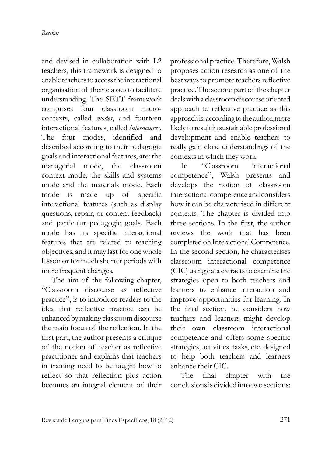and devised in collaboration with L2 teachers, this framework is designed to enable teachers to access the interactional organisation of their classes to facilitate understanding. The SETT framework comprises four classroom microcontexts, called *modes*, and fourteen interactional features, called *interactures*. The four modes, identified and described according to their pedagogic goals and interactional features, are: the managerial mode, the classroom context mode, the skills and systems mode and the materials mode. Each mode is made up of specific interactional features (such as display questions, repair, or content feedback) and particular pedagogic goals. Each mode has its specific interactional features that are related to teaching objectives, and it may last for one whole lesson or for much shorter periods with more frequent changes.

The aim of the following chapter, "Classroom discourse as reflective practice", is to introduce readers to the idea that reflective practice can be enhanced by making classroom discourse the main focus of the reflection. In the first part, the author presents a critique of the notion of teacher as reflective practitioner and explains that teachers in training need to be taught how to reflect so that reflection plus action becomes an integral element of their

professional practice. Therefore, Walsh proposes action research as one of the best ways to promote teachers reflective practice. The second part of the chapter deals with a classroom discourse oriented approach to reflective practice as this approach is, according to the author, more likely to result in sustainable professional development and enable teachers to really gain close understandings of the contexts in which they work.

In "Classroom interactional competence", Walsh presents and develops the notion of classroom interactional competence and considers how it can be characterised in different contexts. The chapter is divided into three sections. In the first, the author reviews the work that has been completed on Interactional Competence. In the second section, he characterises classroom interactional competence (CIC) using data extracts to examine the strategies open to both teachers and learners to enhance interaction and improve opportunities for learning. In the final section, he considers how teachers and learners might develop their own classroom interactional competence and offers some specific strategies, activities, tasks, etc. designed to help both teachers and learners enhance their CIC.

The final chapter with the conclusions is divided into two sections: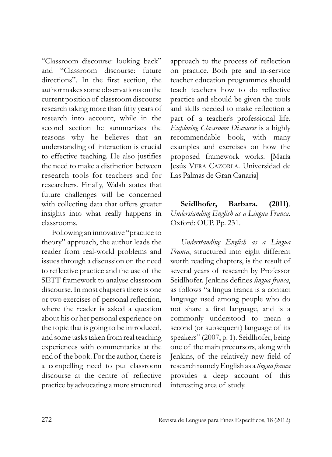"Classroom discourse: looking back" and "Classroom discourse: future directions". In the first section, the author makes some observations on the current position of classroom discourse research taking more than fifty years of research into account, while in the second section he summarizes the reasons why he believes that an understanding of interaction is crucial to effective teaching. He also justifies the need to make a distinction between research tools for teachers and for re searchers. Finally, Walsh states that future challenges will be concerned with collecting data that offers greater insights into what really happens in classrooms.

Following an innovative "practice to theory" approach, the author leads the reader from real-world problems and issues through a discussion on the need to reflective practice and the use of the SETT framework to analyse classroom discourse. In most chapters there is one or two exercises of personal reflection, where the reader is asked a question about his or her personal experience on the topic that is going to be introduced, and some tasks taken from real teaching experiences with commentaries at the end of the book. For the author, there is a compelling need to put classroom discourse at the centre of reflective practice by advocating a more structured

approach to the process of reflection on practice. Both pre and in-service teacher education programmes should teach teachers how to do reflective practice and should be given the tools and skills needed to make reflection a part of a teacher's professional life. *Exploring Class room Discourse* is a highly recommendable book, with many examples and exercises on how the proposed framework works. [María Jesús VERA CAZORLA. Universidad de Las Palmas de Gran Canaria]

**Seidlhofer, Barbara. (2011)**. *Under standing English as a Lingua Franca.* Oxford: OuP. Pp. 231.

*Understanding English as a Lingua Franca*, structured into eight different worth reading chapters, is the result of several years of research by Professor Seidlhofer. Jenkins defines *lingua franca*, as follows "a lingua franca is a contact language used among people who do not share a first language, and is a commonly understood to mean a second (or subsequent) language of its speakers" (2007, p. 1). Seidlhofer, being one of the main precursors, along with Jenkins, of the relatively new field of research namely English as a *lingua franca* provides a deep account of this interesting area of study.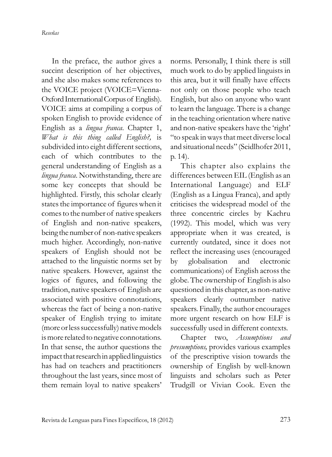*Reseñas*

In the preface, the author gives a succint description of her objectives, and she also makes some references to the VOICE project (VOICE=Vienna-Oxford International Corpus of English). VOICE aims at compiling a corpus of spoken English to provide evidence of English as a *lingua franca*. Chapter 1, *What is this thing called English?,* is subdivided into eight different sections, each of which contributes to the general un derstanding of English as a *lingua franca*. Notwithstanding, there are some key concepts that should be highlighted. Firstly, this scholar clearly states the importance of figures when it comes to the number of native speakers of English and non-native speakers, being the number of non-native speakers much higher. Accordingly, non-native speakers of English should not be attached to the linguistic norms set by native speakers. However, against the logics of figures, and following the tradition, native speakers of English are associated with positive connotations, whereas the fact of being a non-native speaker of English trying to imitate (more or less successfully) native models is more related to negative connotations. In that sense, the author questions the impact that research in applied linguistics has had on teachers and practitioners throughout the last years, since most of them remain loyal to native speakers'

norms. Personally, I think there is still much work to do by applied linguists in this area, but it will finally have effects not only on those people who teach English, but also on anyone who want to learn the language. There is a change in the teaching orientation where native and non-native speakers have the 'right' "to speak in ways that meet diverse local and situational needs" (Seidlhofer 2011, p. 14).

This chapter also explains the differences between EIL (English as an International Language) and ELF (English as a Lingua Franca), and aptly criticises the widespread model of the three concentric circles by Kachru (1992). This model, which was very appropriate when it was created, is currently outdated, since it does not reflect the increasing uses (encouraged by globalisation and electronic communications) of English across the globe. The ownership of English is also questioned in this chapter, as non-native speakers clearly outnumber native speakers. Finally, the author encourages more urgent research on how ELF is successfully used in different contexts.

Chapter two, *Assumptions and presum ptions,* provides various examples of the prescriptive vision towards the ownership of English by well-known linguists and scholars such as Peter Trudgill or Vivian Cook. Even the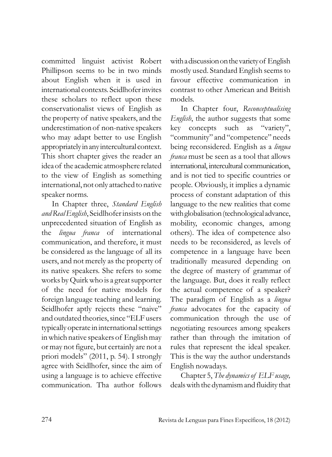committed linguist activist Robert Phillipson seems to be in two minds about English when it is used in international contexts. Seidlhofer invites these scholars to reflect upon these conservationalist views of English as the property of native speakers, and the under estimation of non-native speakers who may adapt better to use English appropriately in any intercultural context. This short chapter gives the reader an idea of the academic atmosphere related to the view of English as something international, not only attached to native speaker norms.

In Chapter three, *Standard English and Real English*, Seidlhofer insists on the unprecedented situation of English as the *lingua franca* of international communication, and therefore, it must be considered as the language of all its users, and not merely as the property of its native speakers. She refers to some works by Quirk who is a great supporter of the need for native models for foreign language teaching and learning. Seidlhofer aptly rejects these "naive" and outdated theories, since "ELF users typically operate in international settings in which native speakers of English may or may not figure, but certainly are not a priori models" (2011, p. 54). I strongly agree with Seidlhofer, since the aim of using a language is to achieve effective communication. Tha author follows with a discussion on the variety of English mostly used. Standard English seems to favour effective communication in contrast to other American and British models.

In Chapter four, *Reconceptualising English*, the author suggests that some key concepts such as "variety", "community" and "competence" needs being reconsidered. English as a *lingua franca* must be seen as a tool that allows international, intercultural communication, and is not tied to specific countries or people. Obviously, it implies a dynamic process of constant adaptation of this language to the new realities that come with globalisation (technological advance, mobility, economic changes, among others). The idea of competence also needs to be reconsidered, as levels of competence in a language have been traditionally measured depending on the degree of mastery of grammar of the language. But, does it really reflect the actual competence of a speaker? The paradigm of English as a *lingua franca* advocates for the capacity of communication through the use of negotiating resources among speakers rather than through the imitation of rules that represent the ideal speaker. This is the way the author understands English nowadays.

Chapter 5, *The dynamics of ELF usage,* deals with the dynamism and fluidity that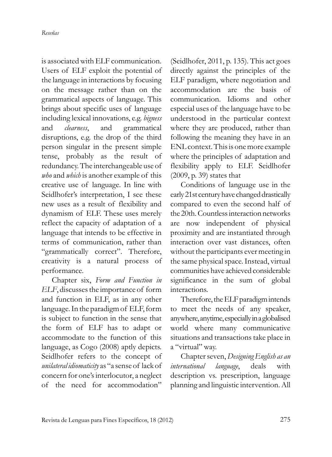is associated with ELF communication. Users of ELF exploit the potential of the language in interactions by focusing on the message rather than on the grammatical aspects of language. This brings about specific uses of language including lexical innovations, e.g. *bigness* and *clearness*, and grammatical disruptions, e.g. the drop of the third person singular in the present simple tense, probably as the result of redundancy. The interchangeable use of *who* and *which* is another example of this creative use of language. In line with Seidlhofer's interpretation, I see these new uses as a result of flexibility and dynamism of ELF. These uses merely reflect the capacity of adaptation of a language that intends to be effective in terms of communication, rather than "grammatically correct". Therefore, creativity is a natural process of performance.

Chapter six, *Form and Function in ELF*, discusses the importance of form and function in ELF, as in any other language. In the paradigm of ELF, form is subject to function in the sense that the form of ELF has to adapt or accommodate to the function of this language, as Cogo (2008) aptly depicts. Seidlhofer refers to the concept of *unilateral idiomaticity* as "a sense of lack of concern for one's interlocutor, a neglect of the need for accommodation" (Seidlhofer, 2011, p. 135). This act goes directly against the principles of the ELF paradigm, where negotiation and accommodation are the basis of communication. Idioms and other especial uses of the language have to be understood in the particular context where they are produced, rather than following the meaning they have in an ENL context. This is one more example where the principles of adaptation and flexibility apply to ELF. Seidlhofer (2009, p. 39) states that

Conditions of language use in the early 21st century have changed drastically compared to even the second half of the 20th. Countless interaction networks are now independent of physical proximity and are instantiated through interaction over vast distances, often without the participants ever meeting in the same physical space. Instead, virtual communities have achieved considerable significance in the sum of global interactions.

Therefore, the ELF paradigm intends to meet the needs of any speaker, anywhere, anytime, especially in a globalised world where many communicative situations and transactions take place in a "virtual" way.

Chapter seven, *Designing English as an international language*, deals with description vs. prescription, language planning and linguistic intervention. All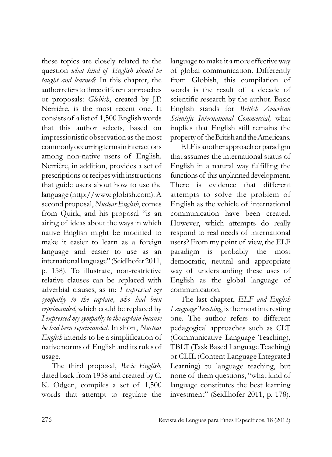these topics are closely related to the question *what kind of English should be taught and learned*? In this chapter, the author refers to three different approaches or proposals: *Globish*, created by J.P. Nerrière, is the most recent one. It consists of a list of 1,500 English words that this author selects, based on impressionistic observation as the most commonly occurring terms in interactions among non-native users of English. Nerrière, in addition, provides a set of prescriptions or recipes with instructions that guide users about how to use the language (http://www.globish.com). A second proposal, *Nuclear English*, comes from Quirk, and his proposal "is an airing of ideas about the ways in which native English might be modified to make it easier to learn as a foreign language and easier to use as an international language" (Seidlhofer 2011, p. 158). To illustrate, non-restrictive relative clauses can be replaced with adverbial clauses, as in: *I expressed my sympathy to the captain, who had been reprimanded*, which could be replaced by *I expressed my sympathy to the captain because he had been reprimanded.* In short, *Nuclear English* intends to be a simplification of native norms of English and its rules of usage.

The third proposal, *Basic English*, dated back from 1938 and created by C. K. Odgen, compiles a set of 1,500 words that attempt to regulate the

language to make it a more effective way of global communication. Differently from Globish, this compilation of words is the result of a decade of scientific research by the author. Basic English stands for *British American Scientific International Com mercial,* what implies that English still remains the property of the British and the Americans.

ELF is another approach or paradigm that assumes the international status of English in a natural way fulfilling the functions of this unplanned development. There is evidence that different attempts to solve the problem of En glish as the vehicle of international communication have been created. However, which attempts do really respond to real needs of international users? From my point of view, the ELF paradigm is probably the most democratic, neutral and appropriate way of understanding these uses of English as the global language of communication.

The last chapter, *ELF and English Language Teaching*, is the most interesting one. The author refers to different pedagogical approaches such as CLT (Communicative Language Teaching), TBLT (Task Based Language Teaching) or CLIL (Content Language Integrated Learning) to language teaching, but none of them questions, "what kind of language constitutes the best learning investment" (Seidlhofer 2011, p. 178).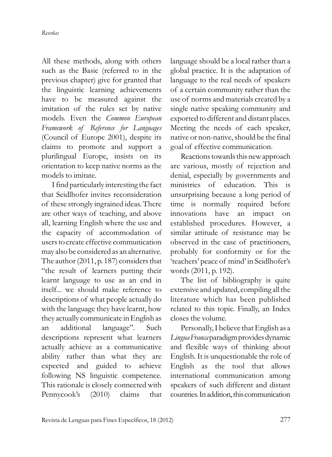All these methods, along with others such as the Basic (referred to in the previous chapter) give for granted that the linguistic learning achievements have to be measured against the imitation of the rules set by native models. Even the *Common European Framework of Reference for Languages* (Council of Europe 2001), despite its claims to promote and support a plurilingual Europe, insists on its orientation to keep native norms as the models to imitate.

I find particularly interesting the fact that Seidlhofer invites reconsideration of these strongly ingrained ideas. There are other ways of teaching, and above all, learning English where the use and the capacity of accommodation of users to create effective communication may also be considered as an alternative. The author (2011, p. 187) considers that "the result of learners putting their learnt language to use as an end in itself... we should make reference to descriptions of what people actually do with the language they have learnt, how they actually communicate in English as an additional language". Such descriptions represent what learners actually achieve as a communicative ability rather than what they are expected and guided to achieve following NS linguistic competence. This rationale is closely connected with Pennycook's (2010) claims that

language should be a local rather than a global practice. It is the adaptation of language to the real needs of speakers of a certain community rather than the use of norms and materials created by a single native speaking community and exported to different and distant places. Meeting the needs of each speaker, native or non-native, should be the final goal of effective communication.

Reactions towards this new approach are various, mostly of rejection and denial, especially by governments and ministries of education. This is unsurprising because a long period of time is normally required before innovations have an impact on established procedures. However, a similar attitude of resistance may be observed in the case of practitioners, probably for conformity or for the 'teachers' peace of mind' in Seidlhofer's words (2011, p. 192).

The list of bibliography is quite extensive and updated, compiling all the literature which has been published re lated to this topic. Finally, an Index closes the volume.

Personally, I believe that English as a *Lingua Franca* paradigm provides dynamic and flexible ways of thinking about English. It is unquestionable the role of English as the tool that allows international communication among speakers of such different and distant countries. In addition, this communication